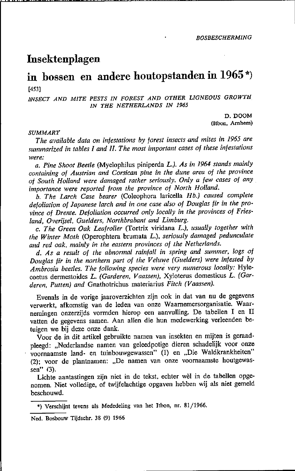# **Insektenplagen**

# **in hossen en andere houtopstanden in 1965** \*) [453]

*INSECT AND MITE PESTS IN FOREST AND OTHER LIGNEOUS GROWTH IN THE NETHERLANDS IN 1965* 

> D.DOOM (Itbon, Arnhem)

#### *SUMMARY*

*T he available data on infestations by forest insects and mites in* 1965 *are ,ummarized in tables* 1 *and* 11. *The most important cases of these intestations were:* 

*a. Pine Shoot Beetle* (Myelophilus piniperda L.). *As in* 1964 *stands mainly eontaining of Austrian and Corsiean pine* in *the dune area of the provinee of SoU/h Holland were damaged rather seriously. Only a tew cases of any . importance were reported from the province of North Holland.* 

*b. The Lareh Case bearer* (Coleophora laricella *Hb.) eaused complete*  defoliation of Japanese larch and in one case also of Douglas fir in the province of Drente. Defoliation occurred only locally in the provinces of Fries*land, Overijsel, Oue/ders, Northbrabant and Limburg.* 

e. *The Green Oak Leafroller* (Tortrix viridana L.), *usually together with the Winter Moth* (Operophtera brumata L.), *seriously damaged pedunculate and red aak, mainly in the eastern provinces of the Nether/ands.* 

*d. As a result of the abnormal rainfall in spring and summer, logs of Douglas* fir *in the northern part of the Veluwe (Guelders) were infested by Ambrosia beetles. The tollowing species werè very numerous locally:* Hylecoetus dermestoides L. *(Garderen, Vaassen),* Xyloterus domesticus *L. (Garderen, Putten) and* Gnathotrichus materiarius *Fiteh (Vaassen).* 

Evenals in de vorige jaaroverzichten zijn ook in dat van nu de gegevens verwerkt, afkomstig van de leden van onze Waarnemersorganisatie. Waarnemingen onzerzijds vormden hierop een aanvulling. De tabellen I en II vatten de gegevens samen. Aan allen die hun medewerking verleenden betuigen we bij deze onze dank.

Voor de in dit artikel gebruikte namen van insekten en mijten is geraadpleegd: "Nederlandse namen van geleedpotige dieren schadelijk voor onze voornaamste land- en tuinbouwgewassen" (1) en "Die Waldkrankheiten" (2); voor de plantnamen: "De namen van onze voornaamste houtgewassen" (3).

Lichte aantastingen zijn niet in de tekst, echter wèl in de tabellen opgenomen. Niet volledige, of twijfelachtige opgaven hebben wij als niet gemeld beschouwd.

0) Verschijnt tevens als Mededeling van het Hbon, nr. 81/1966.

Ned. Bosbouw Tijdschr. 38 (9) 1966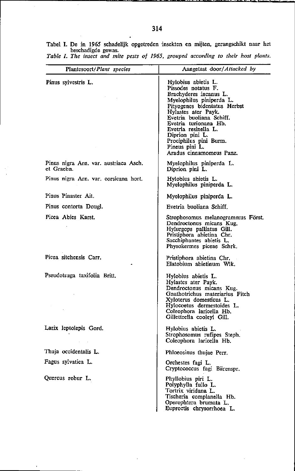Tabel J. De in 1965 schadelijk opgetreden insekten en mijten, gerangschikt naar het beschadigde gewas. *Tahle* J. *The insect and mite pests of* 1965. *grouped according to their host planIs.* 

| Plantesoort/Plant species                           | Aangetast door/Attacked by                                                                                                                                                                                                                                                                                                      |
|-----------------------------------------------------|---------------------------------------------------------------------------------------------------------------------------------------------------------------------------------------------------------------------------------------------------------------------------------------------------------------------------------|
| Pinus sylvestris L.                                 | Hylobius abietis L.<br>Pissodes notatus F.<br>Brachyderes incanus L.<br>Myelophilus piniperda L.<br>Pityogenes bidentatus Herbst<br>Hylastes ater Payk.<br>Evetria buoliana Schiff.<br>Evetria turionana Hb.<br>Evetria resinella L.<br>Diprion pini L.<br>Prociphilus pini Burm.<br>Pineus pini L.<br>Aradus cinnamomeus Panz. |
| Pinus nigra Arn. var. austriaca Asch.<br>et Graebn. | Myelophilus piniperda L.<br>Diprion pini L.                                                                                                                                                                                                                                                                                     |
| Pinus nigra Arn. var. corsicana hort.               | Hylobius abietis L.<br>Myelophilus piniperda L.                                                                                                                                                                                                                                                                                 |
| Pinus Pinaster Ait.                                 | Myelophilus piniperda L.                                                                                                                                                                                                                                                                                                        |
| Pinus contorta Dougl.                               | Evetria buoliana Schiff                                                                                                                                                                                                                                                                                                         |
| Picea Abies Karst.                                  | Strophosomus melanogrammus Först.<br>Dendroctonus micans Kug.<br>Hylurgops palliatus Gill.<br>Pristiphora abietina Chr.<br>Sacchiphantes abietis L.<br>Physokermes piceae Schrk.                                                                                                                                                |
| Picea sitchensis Carr.                              | Pristiphora abietina Chr.<br>Elatobium abietinum Wlk.                                                                                                                                                                                                                                                                           |
| Pseudotsuga taxifolia Britt,                        | Hylobius abietis L.<br>Hylastes ater Payk.<br>Dendroctonus micans Kug.<br>Gnathotrichus materiarius Fitch<br>Xyloterus domesticus L.<br>Hylocoetus dermestoides L.<br>Coleophora laricella Hb.<br>Gilletteella cooleyi Gill.                                                                                                    |
| Larix leptolepis Gord.                              | Hylobius abietis L.<br>Strophosomus rufipes Steph.<br>Coleophora laricella Hb.                                                                                                                                                                                                                                                  |
| Thuja occidentalis L.                               | Phloeosinus thujae Perr.                                                                                                                                                                                                                                                                                                        |
| Fagus sylvatica L.                                  | Orchestes fagi L.<br>Cryptococcus fagi Bärenspr.                                                                                                                                                                                                                                                                                |
| Quercus robur L.                                    | Phyllobius piri L.<br>Polyphylla fullo L.<br>Tortrix viridana L.<br>Tischeria complanella Hb.<br>Operophtera brumata L.<br>Euproctis chrysorrhoea L.                                                                                                                                                                            |

 $\ddot{\phantom{1}}$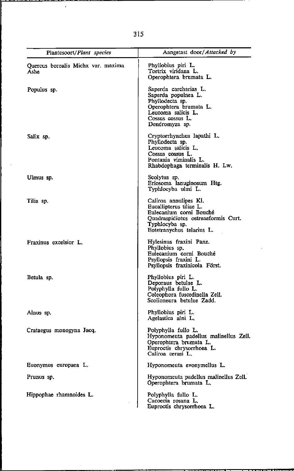|                                            | Aangetast door/Attacked by                                                                                                                                        |
|--------------------------------------------|-------------------------------------------------------------------------------------------------------------------------------------------------------------------|
| Plantesoort/Plant species                  |                                                                                                                                                                   |
| Quercus borealis Michx var. maxima<br>Ashe | Phyllobius piri L.<br>Tortrix viridana L.<br>Operophtera brumata L.                                                                                               |
| Populus sp.                                | Saperda carcharias L.<br>Saperda populnea L.<br>Phyllodecta sp.<br>Operophtera brumata L.<br>Leucoma salicis L.<br>Cossus cossus L.<br>Dendromyza sp.             |
| Salix sp.                                  | Cryptorrhynchus lapathi L.<br>Phyllodecta sp.<br>Leucoma salicis L.<br>Cossus cossus L.<br>Pontania viminalis L.<br>Rhabdophaga terminalis H. Lw.                 |
| Ulmus sp.                                  | Scolytus sp.<br>Eriosoma lanuginosum Htg.<br>Typhlocyba ulmi L.                                                                                                   |
| Tilia sp.                                  | Caliroa annulipes Kl.<br>Eucallipterus tiliae L.<br>Eulecanium corni Bouché<br>Quadraspidiotus ostreaeformis Curt.<br>Typhlocyba sp.<br>Eotetranychus telarius L. |
| Fraxinus excelsior L.                      | Hylesinus fraxini Panz.<br>Phyllobius sp.<br>Eulecanium corni Bouche<br>Psyllopsis fraxini L.<br>Psyllopsis fraxinicola Först.                                    |
| Betula sp.                                 | Phyllobius piri L.<br>Deporaus betulae L.<br>Polyphylla fullo L.<br>Coleophora fuscedinella Zell.<br>Scolioneura betulae Zadd.                                    |
| Alnus sp.                                  | Phyllobius piri L.<br>Agelastica alni L.                                                                                                                          |
| Crataegus monogyna Jacq.                   | Polyphylla fullo L.<br>Hyponomeuta padellus malinellus Zell.<br>Operophtera brumata L.<br>Euproctis chrysorrhoea L.<br>Caliroa cerasi L.                          |
| Euonymus europaea L.                       | Hyponomeuta evonymellus L.                                                                                                                                        |
| Prunus sp.                                 | Hyponomeuta padellus malinellus Zell.<br>Operophtera brumata L.                                                                                                   |
| Hippophae rhamnoides L.                    | Polyphylla fullo L.<br>Cacoecia rosana L.<br>Euproctis chrysorrhoea L.                                                                                            |

 $\bar{t}$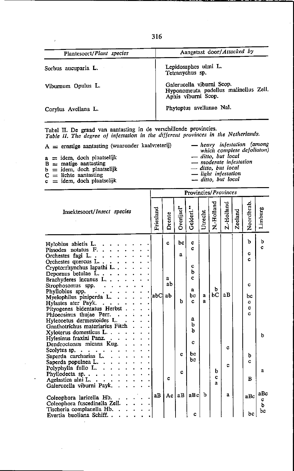| Plantesoort/Plant species | Aangetast door/Attacked by                                                                |
|---------------------------|-------------------------------------------------------------------------------------------|
| Sorbus aucuparia L.       | Lepidosaphes ulmi L.<br>Tetranychus sp.                                                   |
| Viburnum Opulus L.        | Galerucella viburni Scop.<br>Hyponomeuta padellus malinellus Zell.<br>Aphis viburni Scop. |
| Corylus Avellana L.       | Phytoptus avellanae Nal.                                                                  |

Tabel II. De graad van aantasting in de verschillende provincies.<br>Table II. The degree of infestation in the different provinces in the Netherlands.

 $A =$  ernstige aantasting (waaronder kaalvreterij)

 $a$  = idem, doch plaatselijk

- 
- $B =$  matige aantasting<br>  $b =$  idem, doch plaatselijk<br>  $C =$  lichte aantasting
- 
- $c =$  idem, doch plaatselijk

- heavy infestation (among<br>which complete defoliaton) ditto, but local

- moderate infestation

- ditto, but local<br>- light infestation

- ditto, but local

|                                                                                                                                                                                                                                                                                                                                                                                                                                                                                                                                                                                           |           |                    |              | Provincies/Provinces                                        |         |            |            |         |                                       |               |
|-------------------------------------------------------------------------------------------------------------------------------------------------------------------------------------------------------------------------------------------------------------------------------------------------------------------------------------------------------------------------------------------------------------------------------------------------------------------------------------------------------------------------------------------------------------------------------------------|-----------|--------------------|--------------|-------------------------------------------------------------|---------|------------|------------|---------|---------------------------------------|---------------|
| Insektesoort/Insect species                                                                                                                                                                                                                                                                                                                                                                                                                                                                                                                                                               | Friesland | Drente             | Overijsel*   | Gelderl."                                                   | Utrecht | N.-Holland | Z.-Holland | Zeeland | Noordbrab.                            | Limburg       |
| Hylobius abietis L.<br>Pissodes notatus $F_{n+1}$ , $\cdots$ , $\cdots$<br>Orchestes fagi L.<br>Orchestes quercus L.<br>Cryptorrhynchus lapathi $L \cdot \cdot \cdot$<br>Deporaus betulae $L.$<br>Brachyderes incanus L.<br>Strophosomus spp.<br>Phyllobius spp.<br>the contract of the state of<br>Myelophilus piniperda L.<br>Hylastes ater Payk.<br>$\cdot$ :<br>Pityogenes bidentatus Herbst.<br>Phloeosinus thujae Perr.<br>Hylecoetus dermestoides L.<br>Gnathotrichus materiarius Fitch<br>Xyloterus domesticus L.<br>Hylesinus fraxini Panz. $\cdots$<br>Dendroctonus micans Kug. | ,  abc    | c<br>a<br>ab<br>ab | bc<br>a<br>ħ | c<br>c<br>C<br>b<br>c.<br>a<br>bс<br>c.<br>a<br>b<br>b<br>c | a<br>a  | b.<br>bС   | аB<br>c    |         | ħ<br>c<br>c<br>c<br>bс<br>c<br>C<br>c | ь<br>Ċ<br>b   |
| Scolytus sp.<br>Saperda carcharias L.<br>Saperda populnea L.<br>Polyphylla fullo $L. \cdot$                                                                                                                                                                                                                                                                                                                                                                                                                                                                                               |           |                    | c<br>c       | bc<br>Ъc                                                    |         | ħ          | c          |         | ь<br>c                                | a             |
| Phyllodecta sp.<br>Agelastica alni L.<br>Galerucella viburni Payk.                                                                                                                                                                                                                                                                                                                                                                                                                                                                                                                        |           | c                  |              |                                                             |         | c<br>я     |            |         | B                                     |               |
| Coleophora laricella Hb.<br>Coleophora fuscedinella Zell.<br>$\bullet$                                                                                                                                                                                                                                                                                                                                                                                                                                                                                                                    | aB        | Ac                 | aB           | aB cl                                                       | b       |            | a          |         | aBc                                   | аВс<br>¢<br>ь |
| Tischeria complanella Hb.<br>Evertia buoliana Schiff.                                                                                                                                                                                                                                                                                                                                                                                                                                                                                                                                     |           |                    |              | c                                                           |         |            |            |         | bc I                                  | bс            |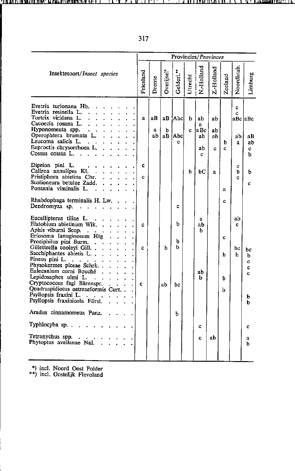|                                                                                                                                                                                                                                                                                                                                                                                                                                                  |                   |                          |                        |                             |              | Provincies/ <i>Provinces</i>           |                                        |                   |                                    |                                           |
|--------------------------------------------------------------------------------------------------------------------------------------------------------------------------------------------------------------------------------------------------------------------------------------------------------------------------------------------------------------------------------------------------------------------------------------------------|-------------------|--------------------------|------------------------|-----------------------------|--------------|----------------------------------------|----------------------------------------|-------------------|------------------------------------|-------------------------------------------|
| Insektesoort/Insect species                                                                                                                                                                                                                                                                                                                                                                                                                      | Friesland         | Drente                   | Overijsel <sup>*</sup> | Gelderl."                   | Utrecht      | N-Holland                              | Z.-Holland                             | Zecland           | Noordbrab.                         | Limburg                                   |
| Evetria turionana Hb.<br>Evetria resinella L.<br>Tortrix viridana L.<br>$\ddot{\phantom{a}}$<br>Cacoecia rosana L.<br>Hyponomeuta spp.<br>Operophtera brumata L.<br>Leucoma salicis L.<br>Euproctis chrysorrhoea L.<br>Cossus cossus L.<br>Diprion pini L.<br>Caliroa annulipes Kl<br>Pristiphora abietina Chr.<br>and a con-<br>Scolioneura betulae Zadd<br>Pontania viminalis L.<br>Rhabdophaga terminalis H. Lw. .<br>Dendromyza sp. $\ldots$ | a<br>c<br>Ć       | aВ<br>$\mathbf{a}$<br>ab | ъ                      | aB Abel<br>aB Abc<br>c<br>c | ь<br>c.<br>b | aЬ<br>a<br>a Bc<br>ab<br>ab<br>c<br>bС | ab l<br>ab<br>ab<br>c.<br>$\mathbf{a}$ | b<br>c.<br>a<br>c | c<br>c<br>abi<br>a<br>c<br>b<br>c. | aBc  aBc<br>аВ<br>ab<br>c<br>ь<br>ь<br>Ċ. |
| Eucallipterus tiliae L.<br>Elatobium abietinum Wlk<br>Aphis viburni Scop.<br>Eriosoma lanuginosum Htg.<br>Prociphilus pini Burm.<br>Gilletteella cooleyi Gill.<br>Sacchiphantes abietis L.                                                                                                                                                                                                                                                       | c.<br>$\mathbf c$ |                          | ь                      | ь<br>ь<br>ь                 |              | a<br>ab<br>b                           |                                        | c<br>b            | ab<br>c<br>bc<br>b                 | Ъc                                        |
| Pineus pini $L \cdot \cdot \cdot \cdot$<br>Physokermes piceae Schrk<br>Eulecanium corni Bouché.<br>Lepidosaphes ulmi L.<br>$\mathcal{A}=\mathcal{A}=\mathcal{A}$ .<br>Cryptococcus fagi Bärenspr.<br>Quadraspidiotus ostreaeformis Curt<br>Psyllopsis fraxini L<br>Psyllopsis fraxinicola Först.                                                                                                                                                 | $\mathbf{c}$      |                          | aЬ                     | bc                          |              | aЬ<br>ь                                |                                        | b<br>Ъ            |                                    | b<br>c<br>c<br>Ċ<br>ь<br>b                |
| Aradus cinnamomeus Panz.<br>Typhlocyba sp. $\ldots$ $\ldots$ $\ldots$                                                                                                                                                                                                                                                                                                                                                                            |                   |                          |                        | ь                           |              | c                                      |                                        |                   |                                    | c                                         |
| Tetranychus spp.<br>Phytoptus avellanae Nal.                                                                                                                                                                                                                                                                                                                                                                                                     |                   |                          |                        |                             |              | c                                      | ab                                     |                   |                                    | a<br>ь                                    |
|                                                                                                                                                                                                                                                                                                                                                                                                                                                  |                   |                          |                        |                             |              |                                        |                                        |                   |                                    |                                           |

|  | ۰. |
|--|----|
|  |    |
|  |    |

\*) incl. Noord Oost Polder<br>\*\*) incl. Oostelijk Flevoland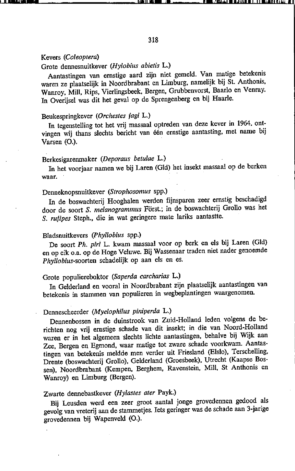#### Kevers *(Co/eoptera)*

## Grote dennesnuitkever *(Hy/obius abietis* L.)

Aantastingen van ernstige aard zijn niet gemeld. Van matige betekenis waren ze plaatselijk in Noordbrabant en Limburg, namelijk bij St. Anthonis, Wanroy, MiII, Rips, Vierlingsbeek, Bergen, Grubbenvorst, BaarIo en Venray. In Overijsel was dit het geval op de Sprengenberg en bij Haarie.

# Beukespringkever *(Orchestes tagi* L.)

In tegenstelling tot het vrij massaal optreden van deze kever in 1964, ontvingen wij thans slechts bericht van één ernstige aantasting, met name bij Varsen (0.).

## Berkesigarenmaker *(Deporaus betu/ae* L.)

In het voorjaar namen we bij Laren (Gld) het insekt massaal op de berken **waar.** 

# Denneknopsnuitkever *(Strophosomus* spp.)

In de boswachterij Hooghalen werden fijnsparen zeer ernstig beschadigd door de soort S. *melanogrammus* Först.; in de boswachterij Grollo was het S. *rutipes* Steph., die in wat geringere mate lariks aantastte.

#### Bladsnuitkevers (Phyllobius spp.)

De soort *Ph. piri* L. kwam massaal voor op berk en els bij Laren (Gld) en op eik o.a. op de Hoge Veluwe. Bij Wassenaar traden niet nader genoemde *Phyllobius-soorten* schadelijk op aan els en es.

# Grote populiereboktor *(Saperda carcharias* L.)

In Gelderland en vooral in Noordbrabant zijn plaatselijk aantastingen van betekenis in stammen van populieren in wegbeplantingen waargenomen.

# Dennescheerder *(Myelophilus piniperda* L.)

Dennenbossen in de duin strook van Zuid-Holland leden volgens de berichten nog vrij ernstige schade van dit insekt; in die van Noord-Holland waren er in het algemeen slechts lichte aantastingen, behalve bij Wijk aan Zee, Bergen en Egmond, waar matige tot zware schade voorkwam. Aantastingen van betekenis meldde men verder uit Friesland (Elslo), Terschelling, Drente (boswachterij Grollo), Gelderland (Groesbeek), Utrecht (Kaapse Bossen), Noordbrabant (Kempen, Berghem, Ravenstein, Mill, St Anthonis en Wanroy) en Limburg (Bergen).

## Zwarte dennebastkever *(Hy/astes ater* Payk)

Bij Leusden werd een zeer groot aantal jonge grovedennen gedood als gevolg van vreterij aan de stammetjes. Iets geringer was de schade aan 3-jarige grovedennen bij Wapenveld (0.).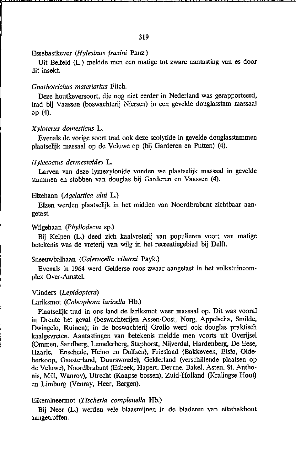## Essebastkever *(Hylesinus fraxini* Panz.)

Uit Belfeld (L.) meldde men een matige tot zware aantasting van es door dit insekt.

## *Gnathotriehus materiarius* Fitch.

Deze houtkeversoort. die nog niet eerder in Nederland was gerapporteerd. trad bij Vaassen (boswachterij Niersen) in een gevelde douglasstam massaal op (4).

#### *Xyloterus domestieus* L.

Evenals de vorige soort trad ook deze scolytide in gevelde douglasstammen plaatselijk massaal op de Veluwe op (bij Garderen en Putten) (4).

## *Hyleeoetus dermestoides* L.

Larven van deze lymexylonide vonden we plaatselijk massaal in gevelde stammen en stobben van douglas bij Garderen en Vaassen (4).

## Elzehaan *(Agelastiea alni* L.)

Elzen werden plaatselijk in het midden van Noordbrabant zichtbaar aangetast.

#### Wilgehaan *(Phyllodeeta* sp.)

Bij Kelpen (L.) deed zich kaalvreterij van populieren voor; van matige betekenis was de vreterij van wilg in het recreatiegebied bij Delft.

## Sneeuwbalhaan *(Galerueella viburni* Payk.)

Evenals in 1964 werd Gelderse roos zwaar aangetast in het volkstuincomplex Over-Amste!.

## Vlinders *(Lepidoptera)*

#### Lariksmot *(Coleophora larieelIa* Hb.)

Plaatselijk trad in ons land de lariksmot weer massaal op. Dit was vooral in Drente het geval (boswachterijen Assen-Oost, Norg, Appelscha, Smilde. Dwingelo, Ruinen); in de boswachterij Grollo werd ook douglas praktisch kaalgevreten. Aantastingen van betekenis meldde men voorts uit Overijsel (Ommen, Sandberg, Lemelerberg, Staphorst, Nijverdal, Hardenberg, De Eese. Haarle, Enschede, Heino en Dalfsen), Friesland (Bakkeveen, Elslo, Oldeberkoop, Gaasterland, Duurswoude), Gelderland (verschillende plaatsen op de Veluwe), Noordbrabant (Esbeek, Hapert, Deurne, Bakel, Asten, St. Anthonis, Mill, Wanroy), Utrecht (Kaapse bossen), Zuid-Holland (Kralingse Hout) en Limburg (Venray, Heer, Bergen).

#### Eikemineennot *(Tiseheria eomplanella* Hb.)

Bij Neer (L.) werden vele blaasmijnen in de bladeren van eikehakhout aangetroffen.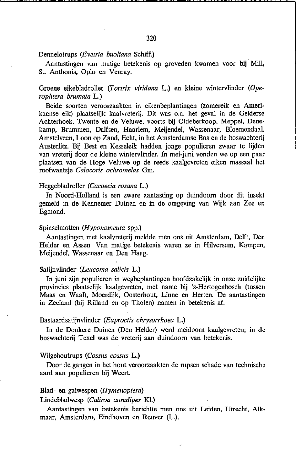#### Dennelotrups *(Evetria buoliana* Schift)

Aantastingen van matige betekenis op groveden kwamen voor bij Mill, St. Anthonis, Oplo en Venray.

## Groene eikebladroller *(Tortrix viridana* L.) en kleine wintervlinder *(Operophtera brumata* L.)

Beide soorten veroorzaakten in eikenbeplantingen (zomereik en Amerikaanse eik) plaatselijk kaalvreterij. Dit was o.a. het geval in de Gelderse Achterhoek, Twente en de Veluwe, voorts bij Oldeberkoop, Meppel, Denekamp, Brummen, Dalfsen, Haarlem, Meijendel, Wassenaar, Bloemendaal, Amstelveen, Loon op Zand, Echt, in het Amsterdamse Bos en de boswachterij Austerlitz. Bij Best en Kesseleik hadden jonge populieren zwaar te lijden van vreterij door de kleine wintervlinder. In mei-juni vonden we op een paar plaatsen van de Hoge Veluwe op de reeds kaalgevreten eiken massaal het roofwantsie Calocoris ochromelas Gm.

#### Heggebladroller *(Cacoecia rosana* L.)

In Noord-Holland is een zware aantasting op duindoorn door dit insekt gemeld in de Kennemer Duinen en in de omgeving van Wijk aan Zee en Egmond.

## Spinselmotten *(Hyponomeuta* spp.)

Aantastingen met kaal vreterij meldde men ons uit Amsterdam, Delft, Den Helder en Assen. Van matige betekenis waren ze in Hilversum, Kampen. Meijendel, Wassenaar en Den Haag.

#### Satijnvlinder *(Leucoma salicis* L.)

In juni zijn populieren in wegbeplantingen hoofdzakelijk in onze zuidelijke provincies plaatselijk kaalgevreten, met name bij 's-Hertogenbosch (tussen Maas en Waal), Moerdijk, Oosterhout, Linne en Herten. De aantastingen in Zeeland (bij Rilland en op Tholen) namen in betekenis af.

## Bastaardsatijnvlinder (Euproctis chrysorrhoea L.)

In de Donkere Duinen (Den Helder) werd meidoorn kaalgevreten; in de boswachterij Texel was de vreterij aan duindoorn van betekenis.

#### Wilgehoutrups *(Cossus cossus* L.)

Door de gangen in het hout veroorzaakten de rupsen schade van technische aard aan populieren bij Weert.

#### Blad- en galwespen *(Hymenoptera)*

#### Lindebladwesp *(Caliroa annulipes* Kl.)

Aantastingen van betekenis berichtte men ons uit Leiden, Utrecht, Alkmaar, Amsterdam, Eindhoven en Reuver (L.).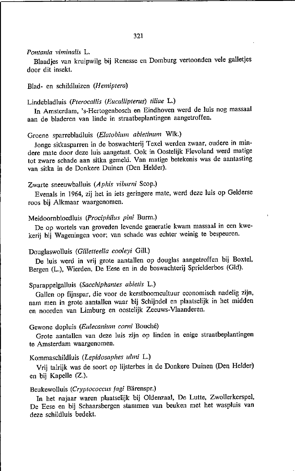## *Pontania viminalis* **L.**

Blaadjes van kruipwilg bij Renesse en Domburg vertoonden vele galletjes door dit insekt.

#### Blad- en schildluizen *(liemiptera)*

# Lindebladluis *(Pterocallis (Eucallipterus) tiIiae* L.)

In Amsterdam, 's-Hertogenbosch en Eindhoven werd de luis nog massaal aan de bladeren van linde in straatbeplantingen aangetroffen.

# Groene sparrebladluis (Elatobium abietinum Wlk.)

Jonge sitkasparren in de boswachterij Texel werden zwaar, oudere in mindere mate door deze luis aangetast. Ook in Oostelijk Flevoland werd matige tot zware schade aan sitka gemeld. Van matige betekenis was de aantasting van sitka in de Donkere Duinen (Den Helder).

## Zwarte sneeuwballuis *(Aphis viburni* Scop.)

Evenals in 1964, zij het in iets geringere mate, werd deze luis op Gelderse roos bij Alkmaar waargenomen.

## Meidoornbloedluis *(Prociphilus pini* Burm.)

De op wortels van groveden levende generatie kwam massaal in een kwekerij bij Wageningen voor; van schade was echter weinig te bespeuren.

## Douglaswolluis *(Gil/etteella coo/eyi* GiIL)

De luis werd in vrij grote aantallen op douglas aangetroffen bij Boxtel. Bergen (L.), Wierden, De Eese en in de boswachterij Sprielderbos (Gld).

## Sparappelgalluis *(Sacchiphantes abietis* L.)

Gallen op fijnspar, die voor de kerstboomcultuur economisch nadelig zijn, nam men in grote aantallen waar bij Schijndel en plaatselijk in het midden en noorden van Limburg en oostelijk Zeeuws-Vlaanderen.

# Gewone dopluis (Eulecanium corni Bouché)

Grote aantallen van deze luis zijn op linden in enige straatbeplantingen te Amsterdam waargenomen.

# Kommaschildluis *(Lepidosaphes u/mi* L.)

Vrij talrijk was de soort op lijsterbes in de Donkere Duinen (Den Helder) en bij Kapelle (Z.).

#### Beukewolluis *(Cryptococclls tagi* Bärenspr.)

**In** het najaar waren plaatselijk bij Oldenzaal, De Lutte, Zwollerkerspel, De Eese en bij Schaarsbergen stammen van beuken met het waspluis van deze schildluis bedekt.